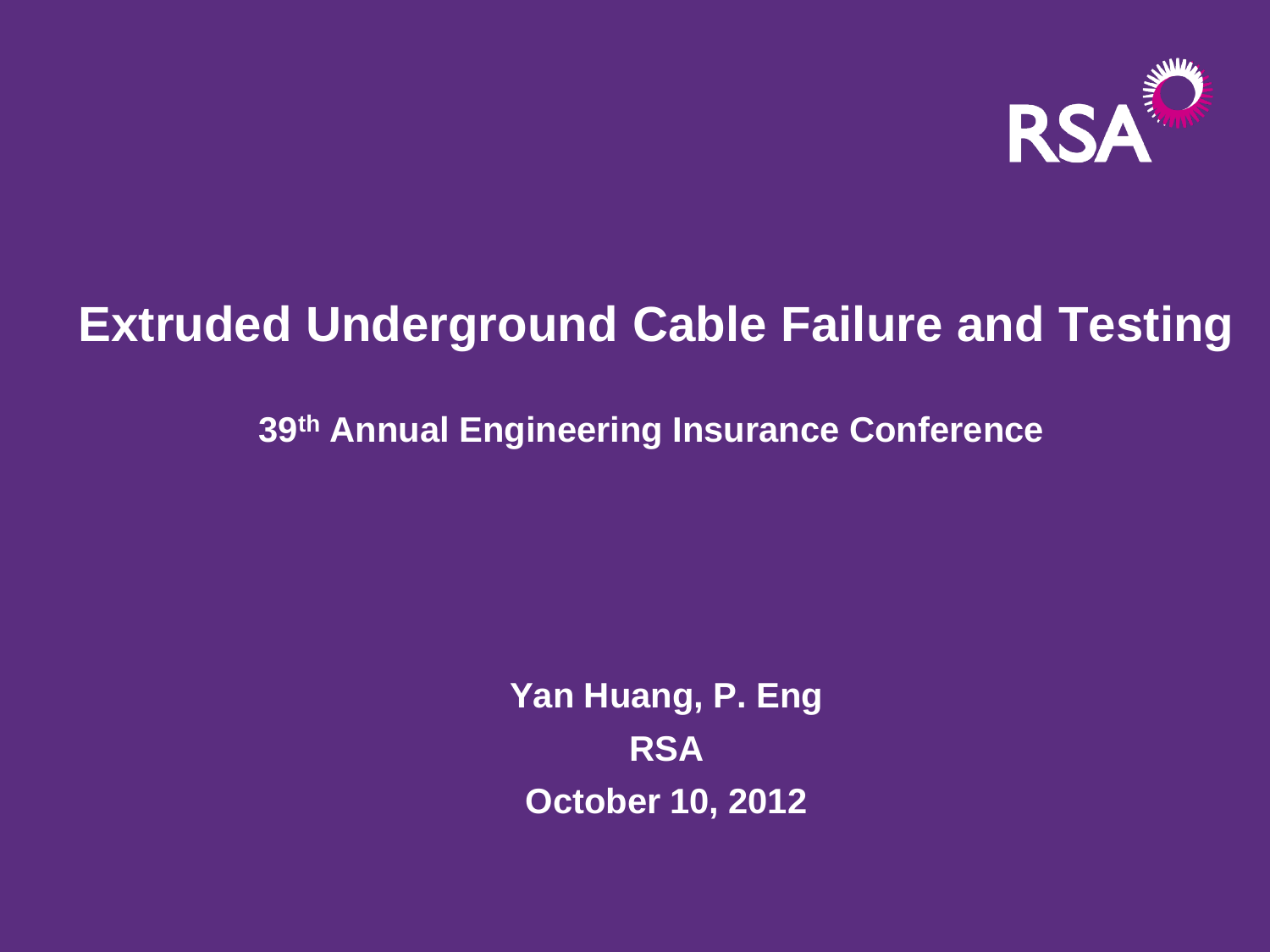

# **Extruded Underground Cable Failure and Testing**

**39th Annual Engineering Insurance Conference** 

**Yan Huang, P. Eng RSA October 10, 2012**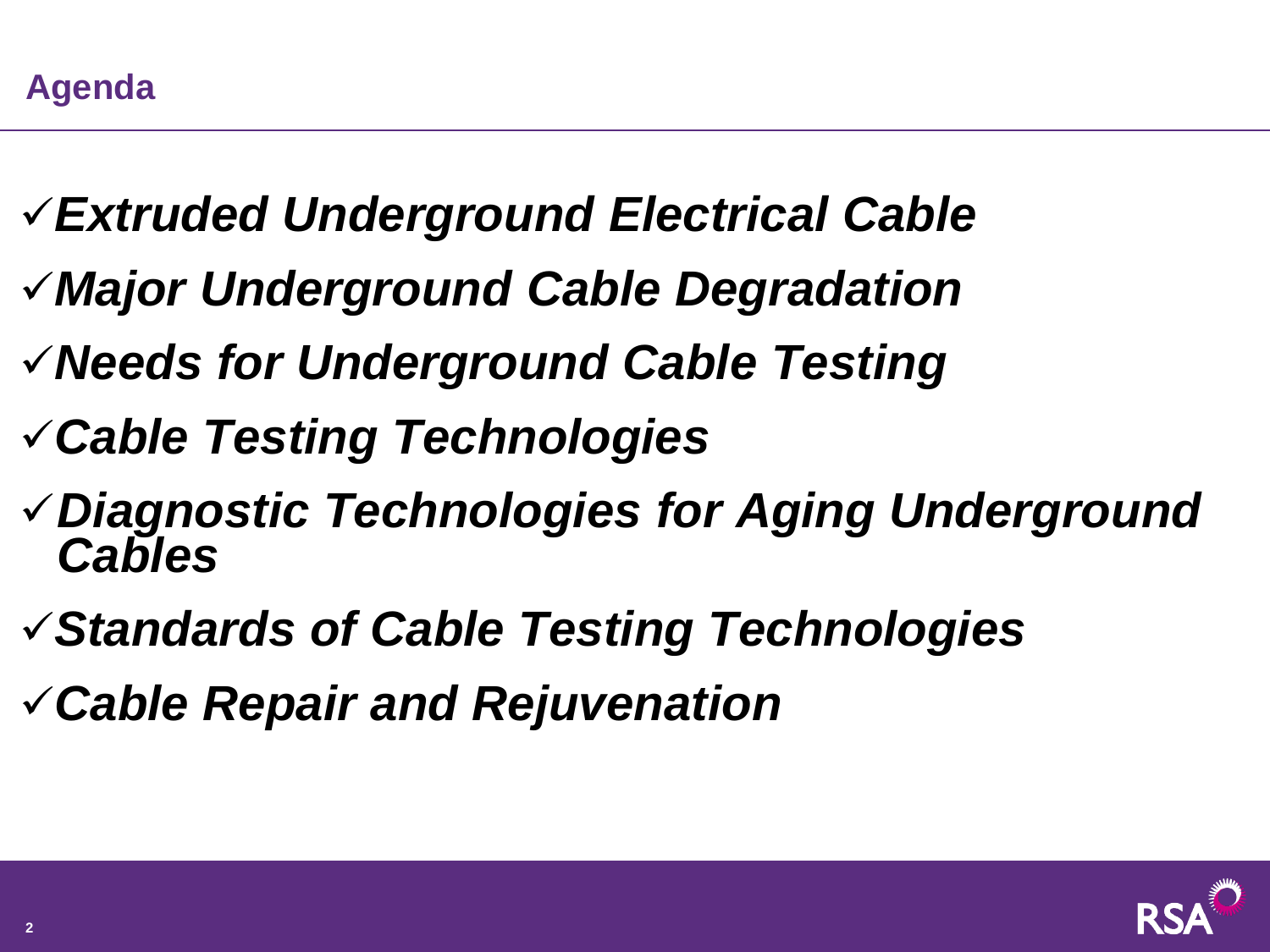- *Extruded Underground Electrical Cable*
- *Major Underground Cable Degradation*
- *Needs for Underground Cable Testing*
- *Cable Testing Technologies*
- *Diagnostic Technologies for Aging Underground Cables*
- *Standards of Cable Testing Technologies*
- *Cable Repair and Rejuvenation*

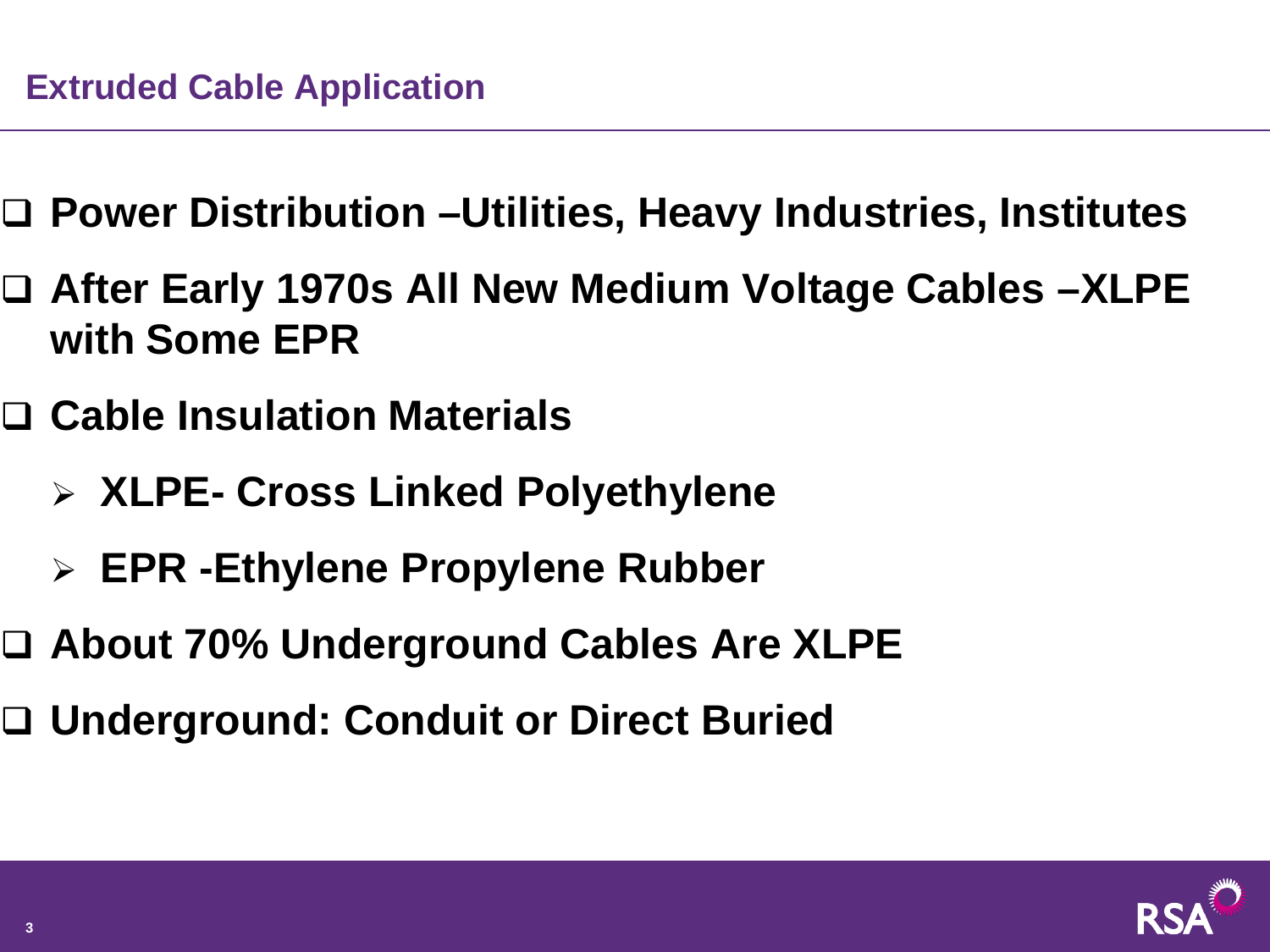- **Power Distribution –Utilities, Heavy Industries, Institutes**
- **After Early 1970s All New Medium Voltage Cables –XLPE with Some EPR**
- **Cable Insulation Materials**
	- **XLPE- Cross Linked Polyethylene**
	- **EPR -Ethylene Propylene Rubber**
- **About 70% Underground Cables Are XLPE**
- **Underground: Conduit or Direct Buried**

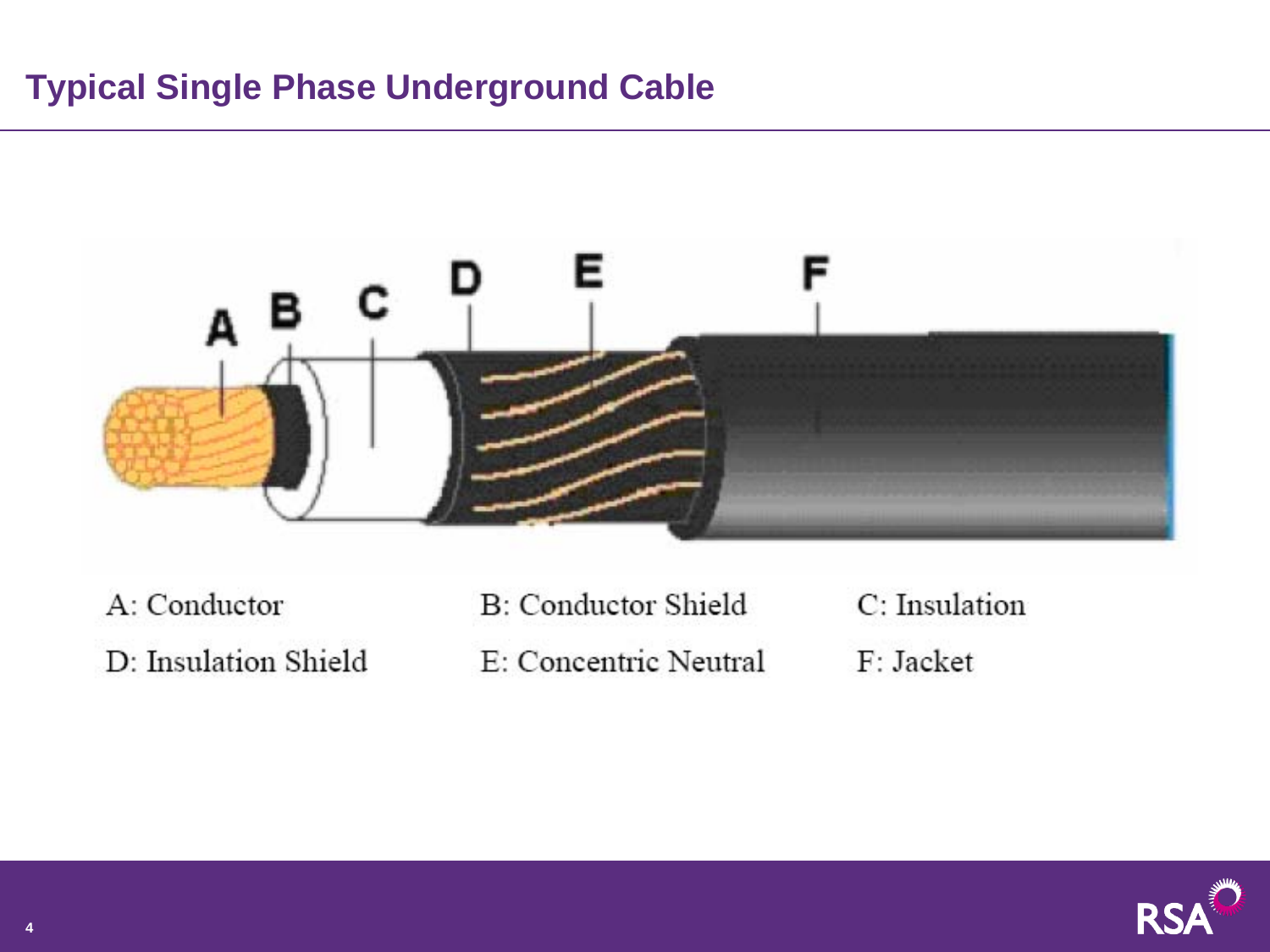#### **Typical Single Phase Underground Cable**



A: Conductor

D: Insulation Shield

B: Conductor Shield E: Concentric Neutral C: Insulation

F: Jacket

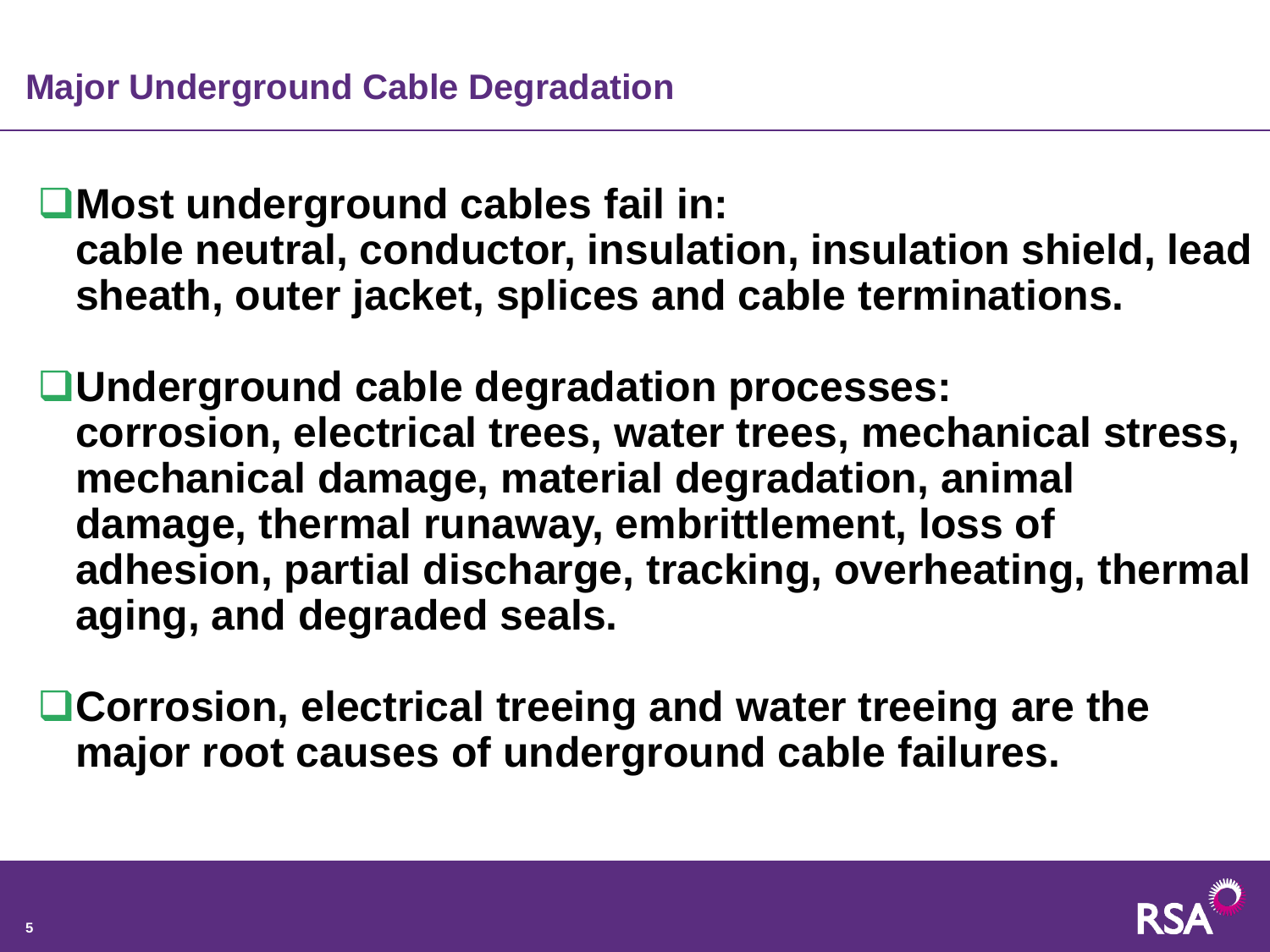■Most underground cables fail in: **cable neutral, conductor, insulation, insulation shield, lead sheath, outer jacket, splices and cable terminations.**

**Underground cable degradation processes: corrosion, electrical trees, water trees, mechanical stress, mechanical damage, material degradation, animal damage, thermal runaway, embrittlement, loss of adhesion, partial discharge, tracking, overheating, thermal aging, and degraded seals.**

**Corrosion, electrical treeing and water treeing are the major root causes of underground cable failures.**

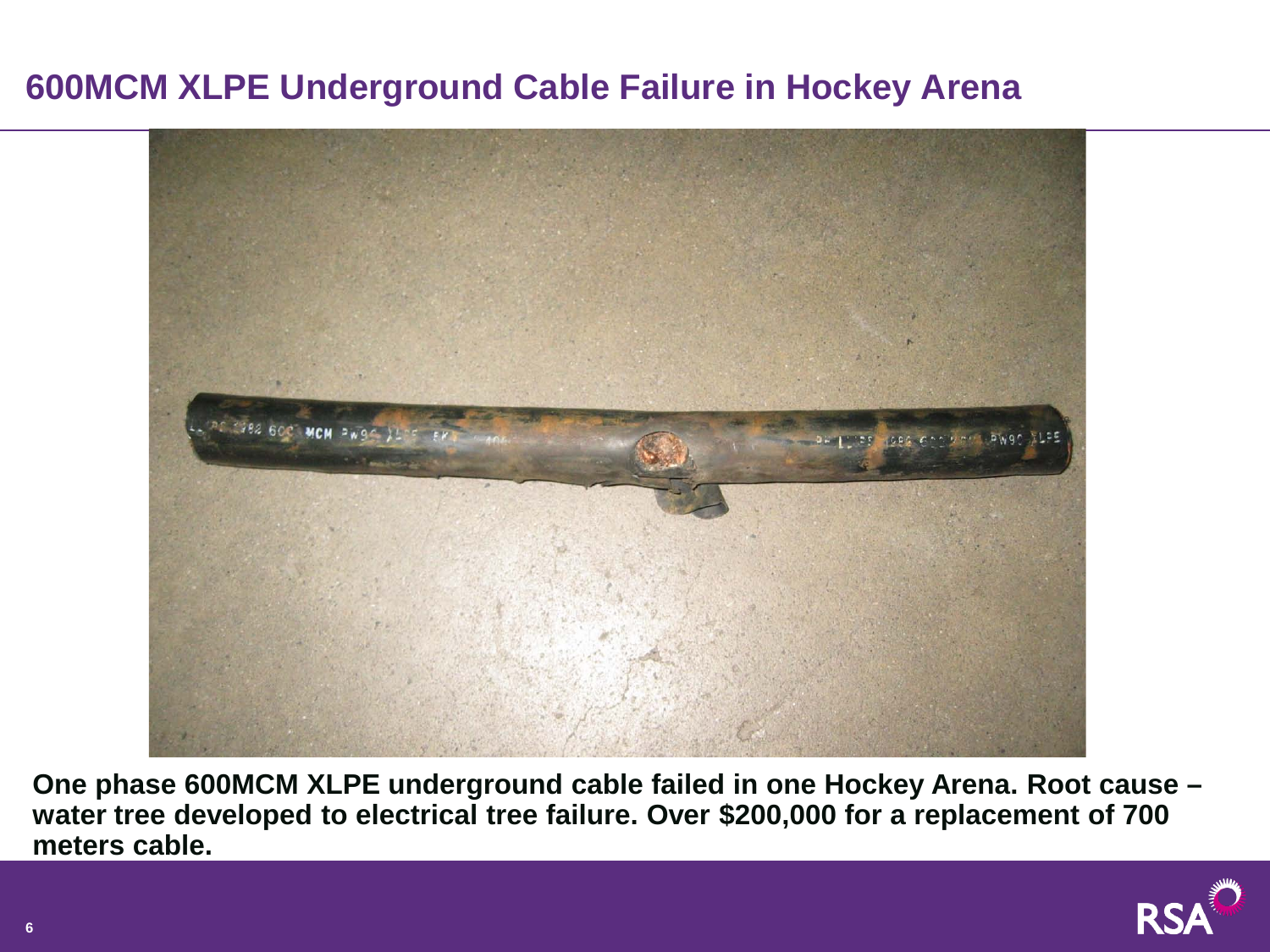## **600MCM XLPE Underground Cable Failure in Hockey Arena**



**One phase 600MCM XLPE underground cable failed in one Hockey Arena. Root cause – water tree developed to electrical tree failure. Over \$200,000 for a replacement of 700 meters cable.**

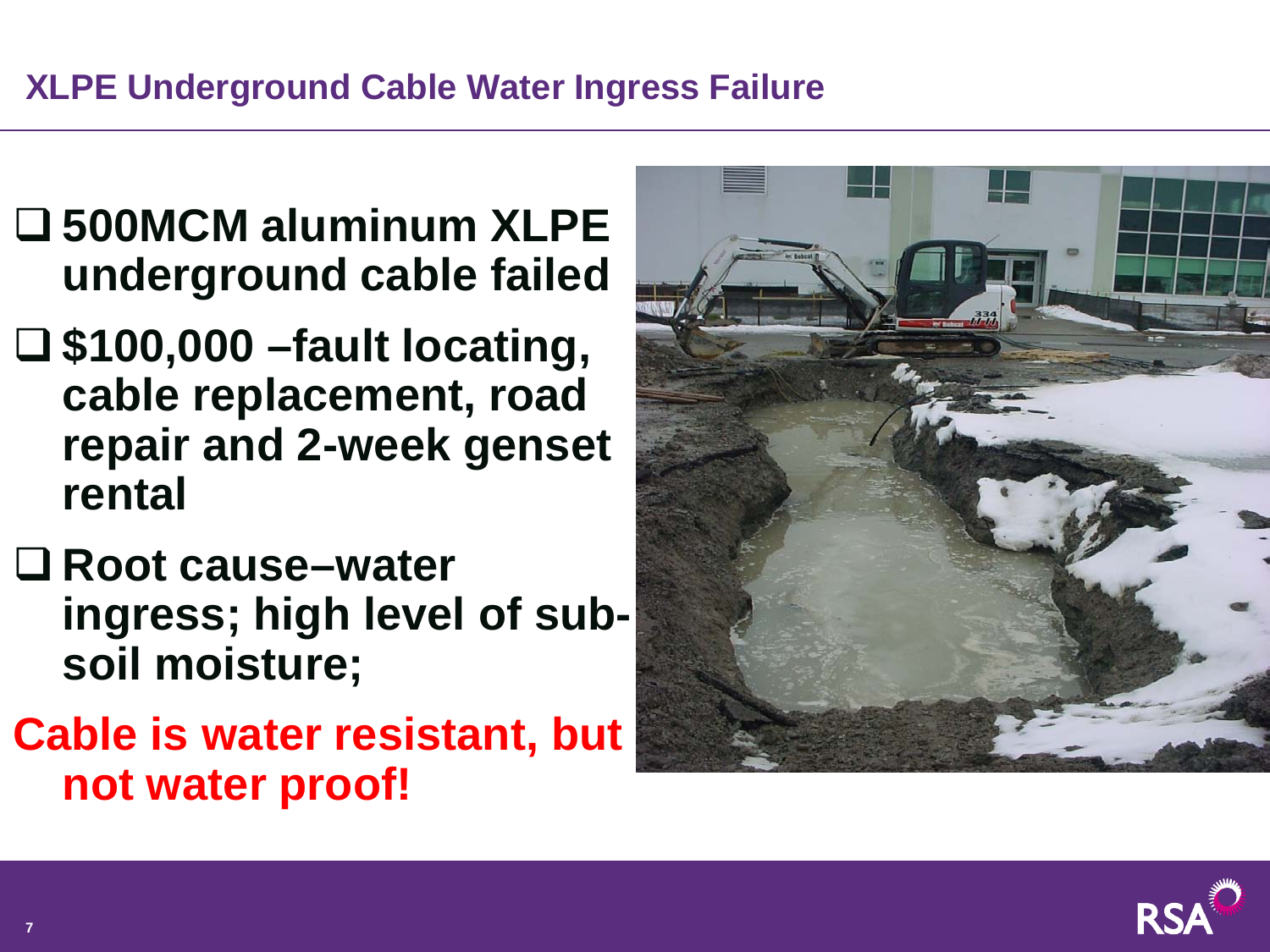# **XLPE Underground Cable Water Ingress Failure**

- **500MCM aluminum XLPE underground cable failed**
- **\$100,000 –fault locating, cable replacement, road repair and 2-week genset rental**
- **Root cause–water ingress; high level of subsoil moisture;**
- **Cable is water resistant, but not water proof!**



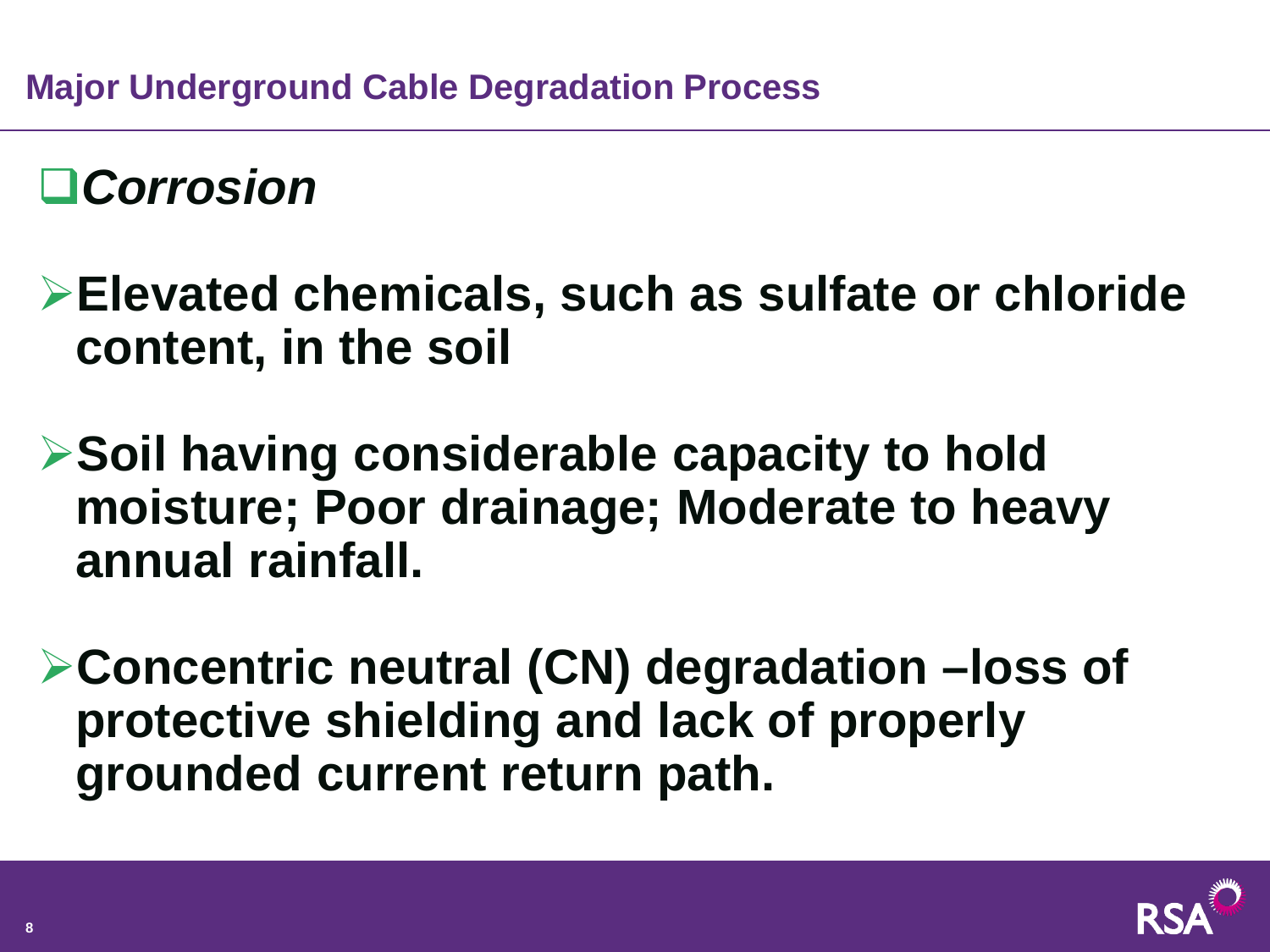# *Corrosion*

- **Elevated chemicals, such as sulfate or chloride content, in the soil**
- **Soil having considerable capacity to hold moisture; Poor drainage; Moderate to heavy annual rainfall.**
- **Concentric neutral (CN) degradation –loss of protective shielding and lack of properly grounded current return path.**

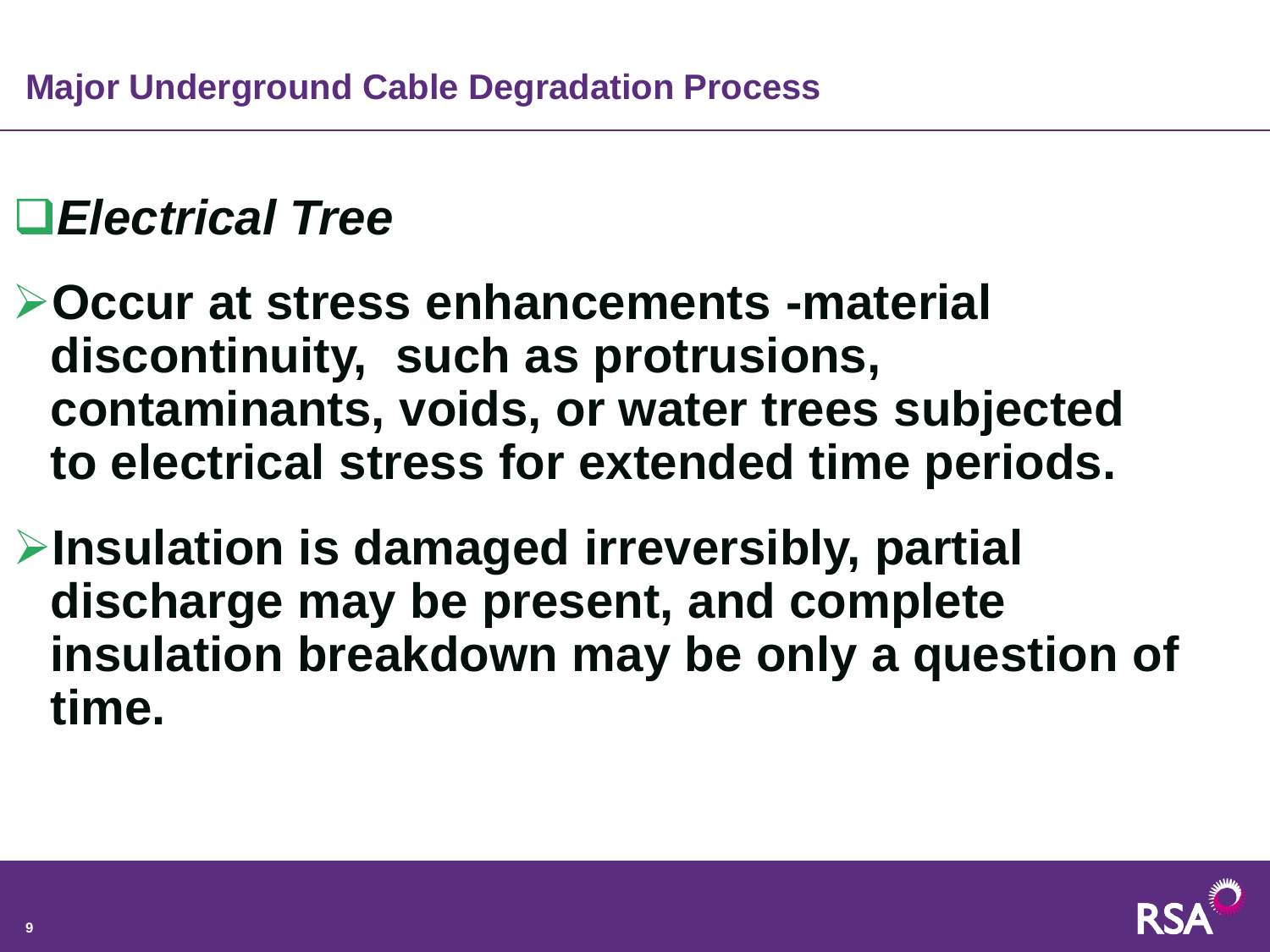# *Electrical Tree*

**Occur at stress enhancements -material discontinuity, such as protrusions, contaminants, voids, or water trees subjected to electrical stress for extended time periods.**

**Insulation is damaged irreversibly, partial discharge may be present, and complete insulation breakdown may be only a question of time.**

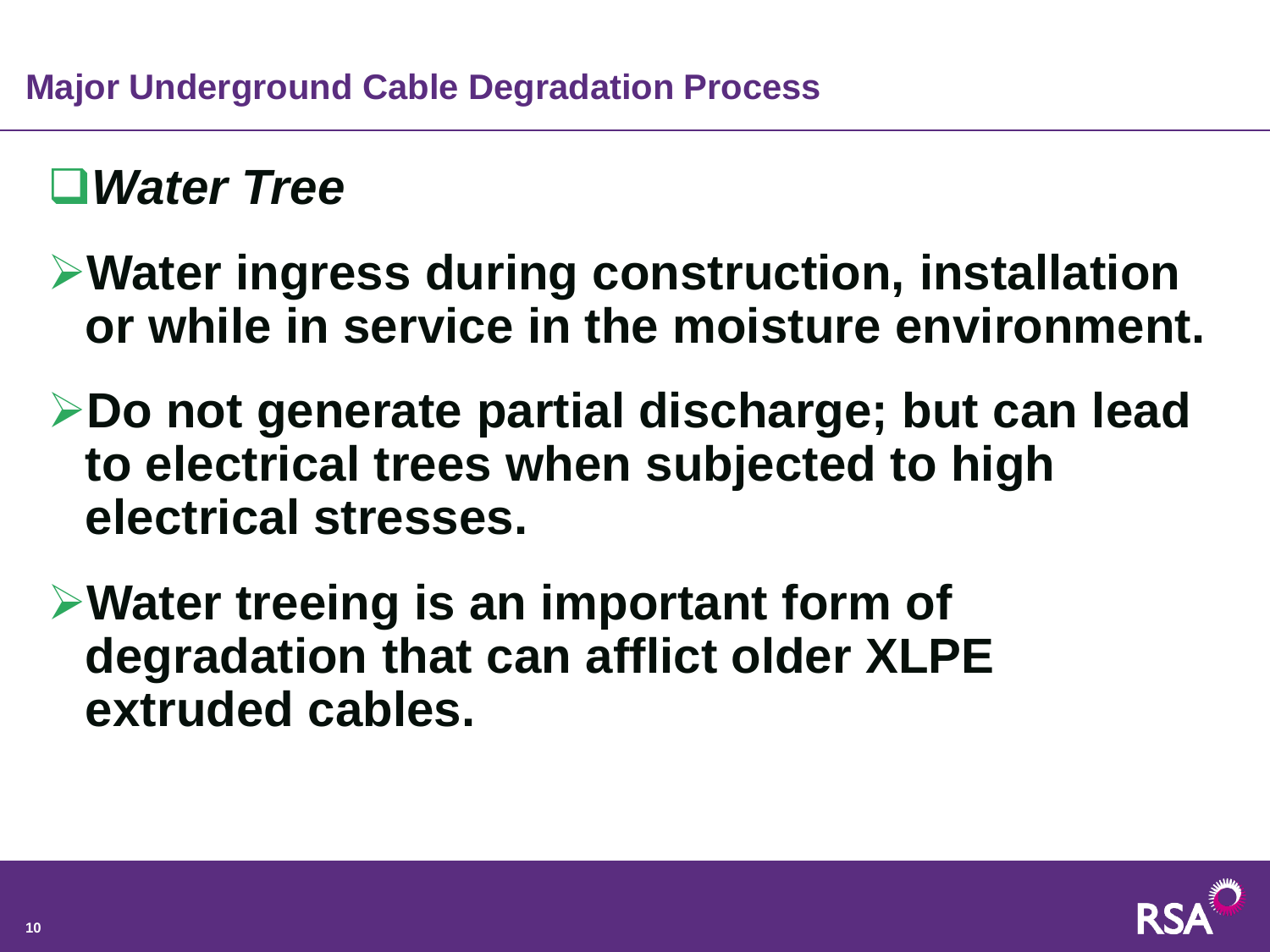# *Water Tree*

- **Water ingress during construction, installation or while in service in the moisture environment.**
- **Do not generate partial discharge; but can lead to electrical trees when subjected to high electrical stresses.**
- **Water treeing is an important form of degradation that can afflict older XLPE extruded cables.**

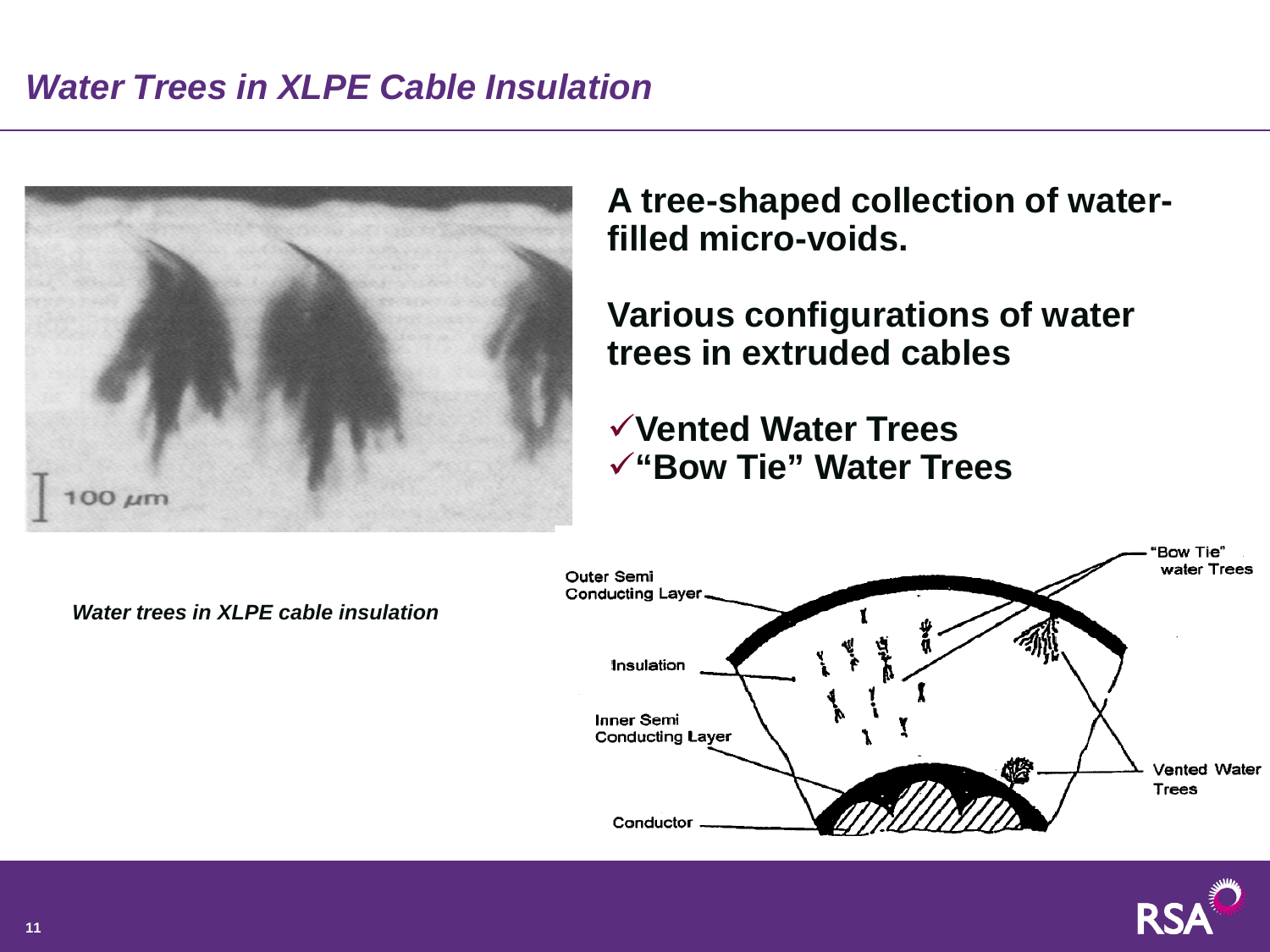## *Water Trees in XLPE Cable Insulation*



**A tree-shaped collection of waterfilled micro-voids.**

**Various configurations of water trees in extruded cables**

**Vented Water Trees "Bow Tie" Water Trees** 





*Water trees in XLPE cable insulation*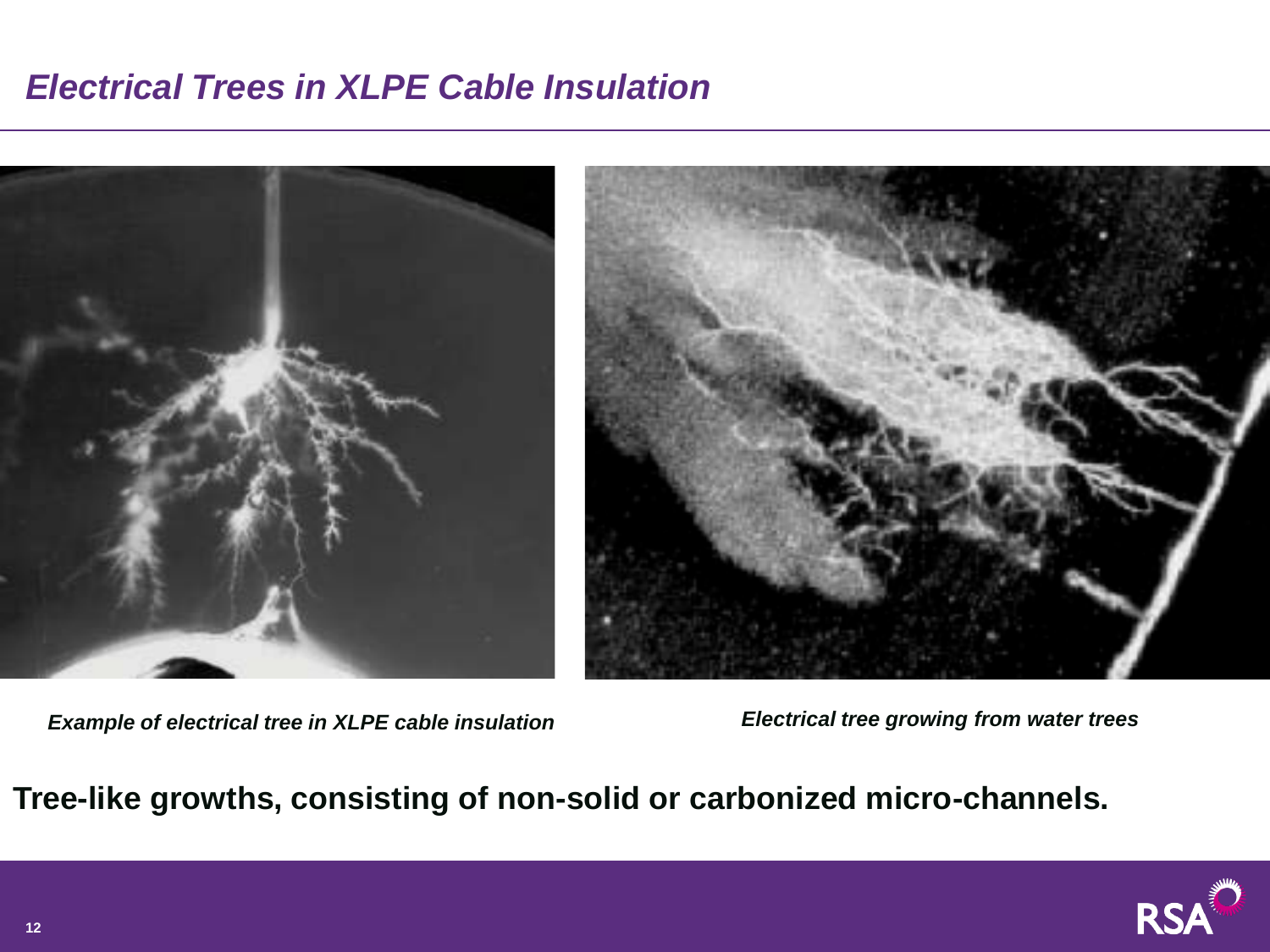## *Electrical Trees in XLPE Cable Insulation*



*Example of electrical tree in XLPE cable insulation Electrical tree growing from water trees*

**Tree-like growths, consisting of non-solid or carbonized micro-channels.**

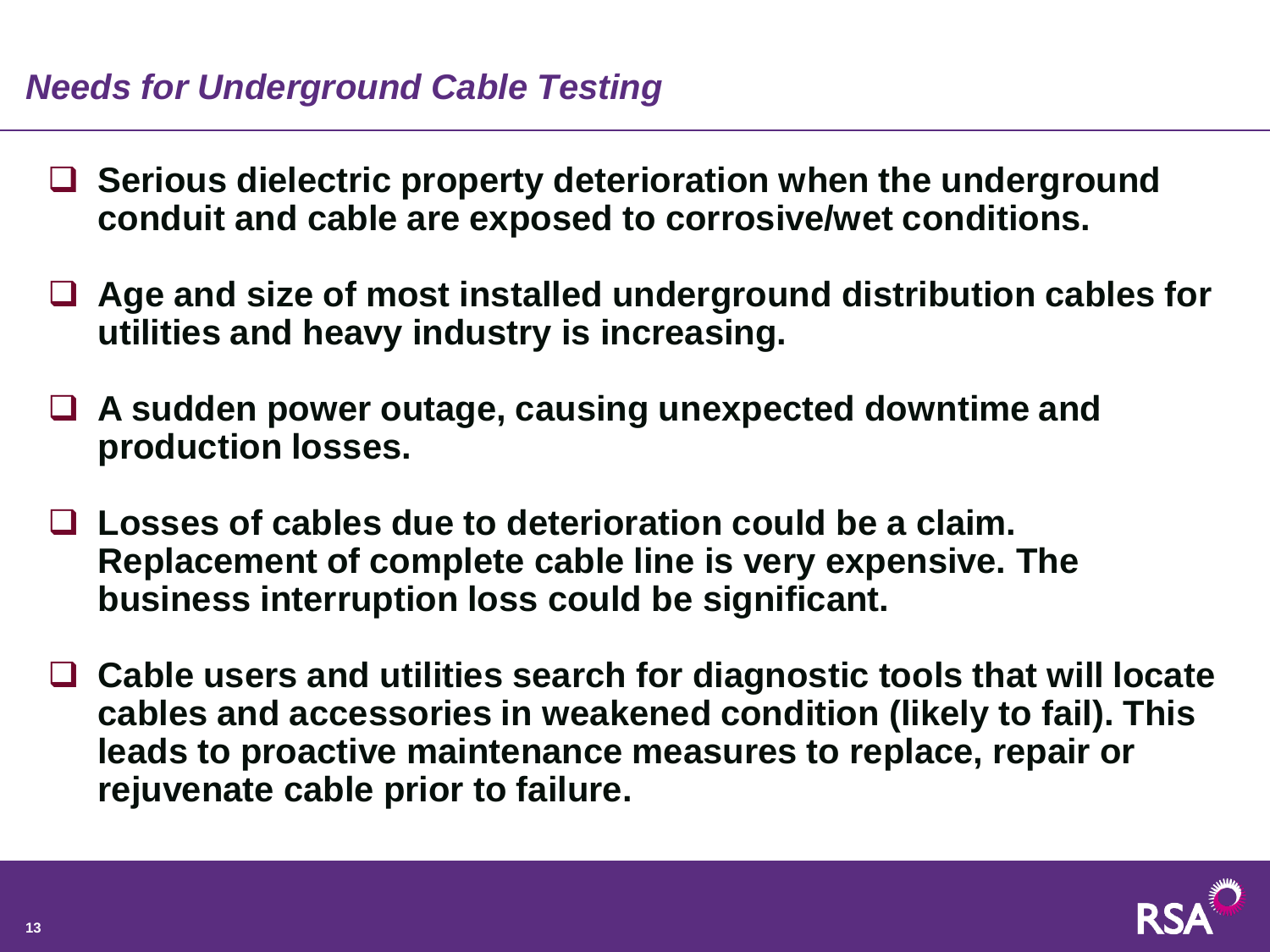#### *Needs for Underground Cable Testing*

- **Serious dielectric property deterioration when the underground conduit and cable are exposed to corrosive/wet conditions.**
- **Age and size of most installed underground distribution cables for utilities and heavy industry is increasing.**
- **A sudden power outage, causing unexpected downtime and production losses.**
- **Losses of cables due to deterioration could be a claim. Replacement of complete cable line is very expensive. The business interruption loss could be significant.**
- **Cable users and utilities search for diagnostic tools that will locate cables and accessories in weakened condition (likely to fail). This leads to proactive maintenance measures to replace, repair or rejuvenate cable prior to failure.**

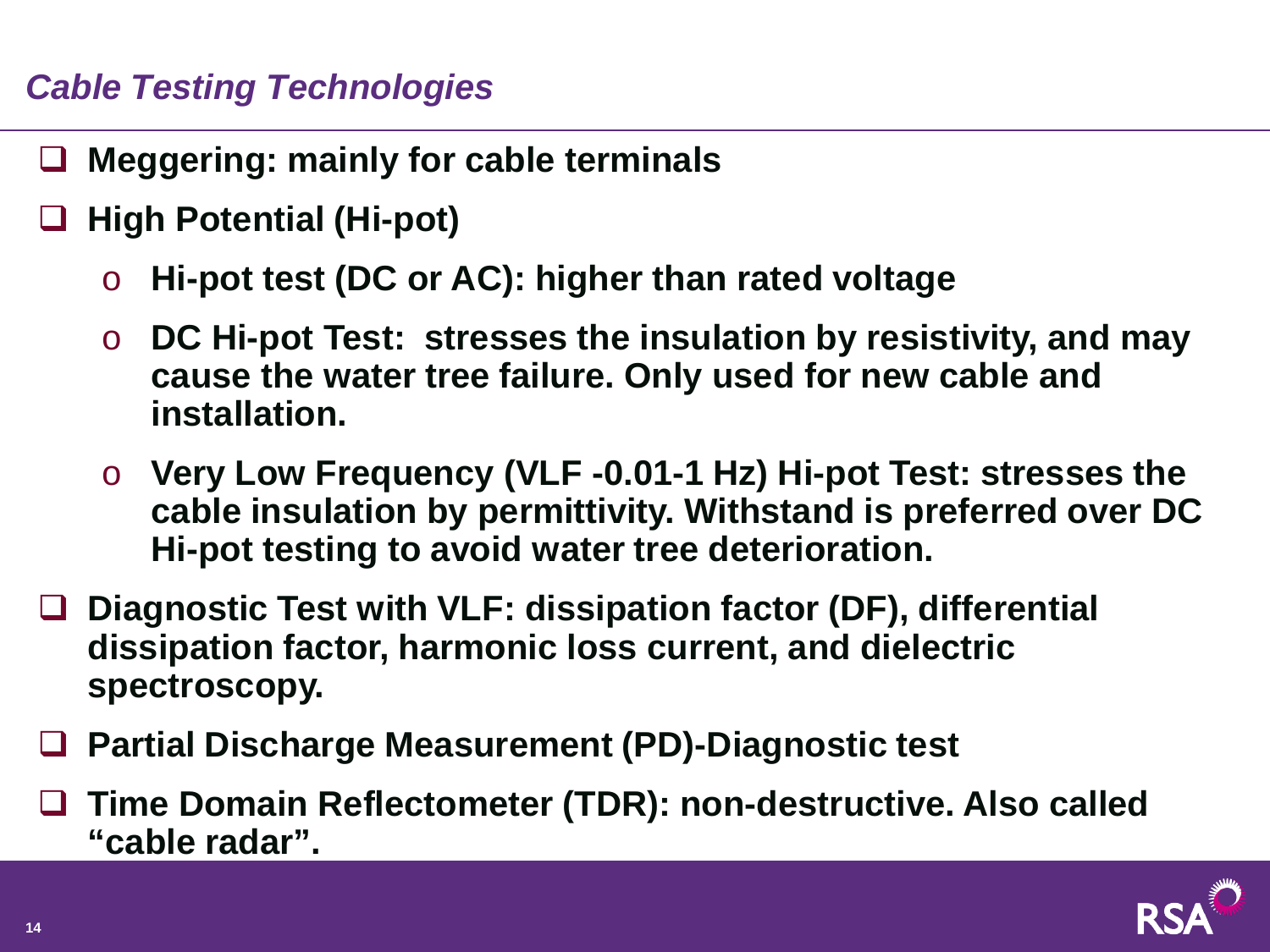## *Cable Testing Technologies*

- **Meggering: mainly for cable terminals**
- **High Potential (Hi-pot)**
	- o **Hi-pot test (DC or AC): higher than rated voltage**
	- o **DC Hi-pot Test: stresses the insulation by resistivity, and may cause the water tree failure. Only used for new cable and installation.**
	- o **Very Low Frequency (VLF -0.01-1 Hz) Hi-pot Test: stresses the cable insulation by permittivity. Withstand is preferred over DC Hi-pot testing to avoid water tree deterioration.**
- **Diagnostic Test with VLF: dissipation factor (DF), differential dissipation factor, harmonic loss current, and dielectric spectroscopy.**
- **Partial Discharge Measurement (PD)-Diagnostic test**
- **Time Domain Reflectometer (TDR): non-destructive. Also called "cable radar".**

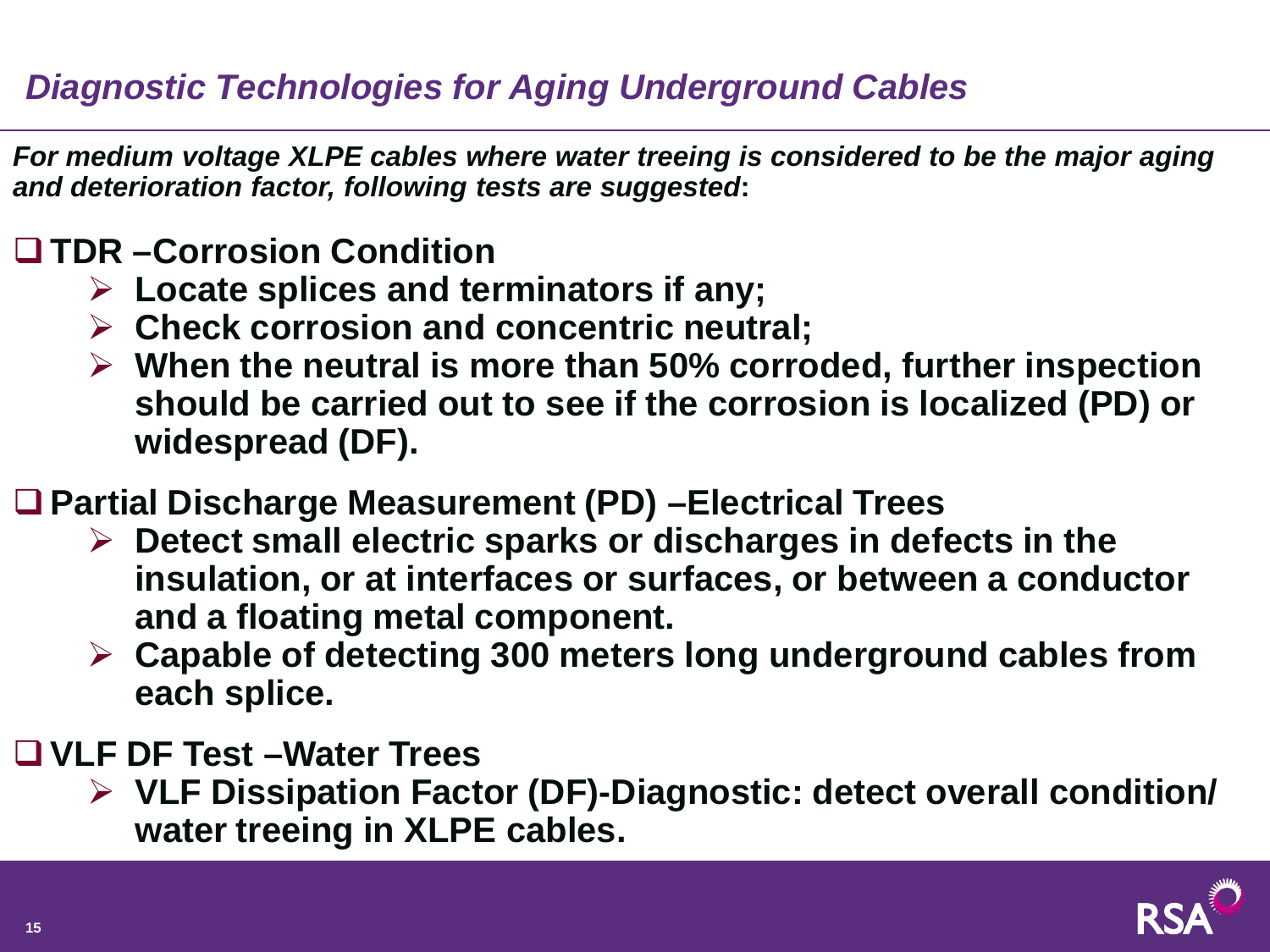# *Diagnostic Technologies for Aging Underground Cables*

*For medium voltage XLPE cables where water treeing is considered to be the major aging and deterioration factor, following tests are suggested***:**

#### **TDR –Corrosion Condition**

- **Locate splices and terminators if any;**
- **Check corrosion and concentric neutral;**
- **When the neutral is more than 50% corroded, further inspection should be carried out to see if the corrosion is localized (PD) or widespread (DF).**
- **Partial Discharge Measurement (PD) –Electrical Trees**
	- **Detect small electric sparks or discharges in defects in the insulation, or at interfaces or surfaces, or between a conductor and a floating metal component.**
	- **Capable of detecting 300 meters long underground cables from each splice.**
- **VLF DF Test –Water Trees**
	- **VLF Dissipation Factor (DF)-Diagnostic: detect overall condition/ water treeing in XLPE cables.**

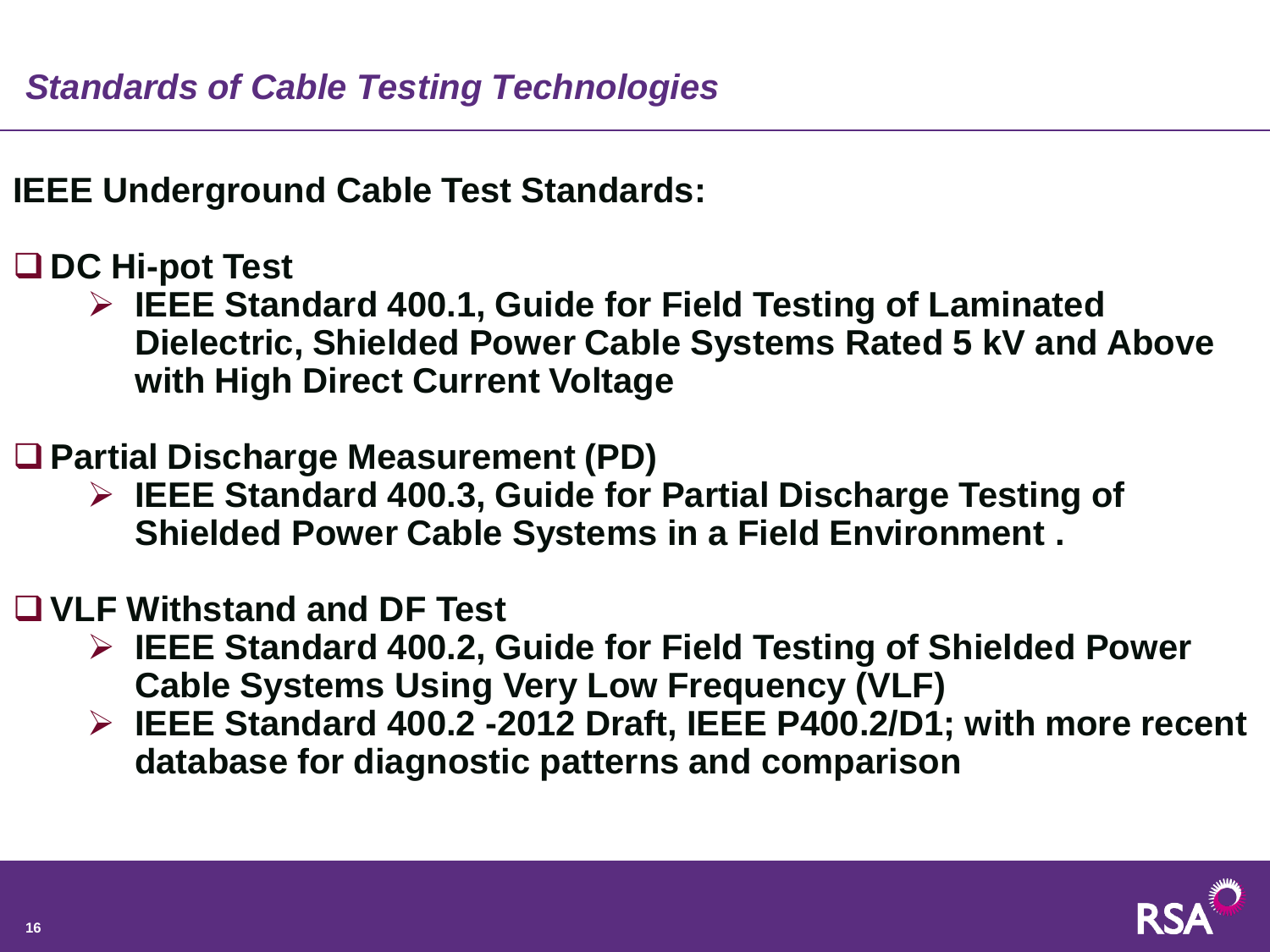**IEEE Underground Cable Test Standards:**

#### **DC Hi-pot Test**

 **IEEE Standard 400.1, Guide for Field Testing of Laminated Dielectric, Shielded Power Cable Systems Rated 5 kV and Above with High Direct Current Voltage**

## **Partial Discharge Measurement (PD)**

 **IEEE Standard 400.3, Guide for Partial Discharge Testing of Shielded Power Cable Systems in a Field Environment .** 

#### **VLF Withstand and DF Test**

- **IEEE Standard 400.2, Guide for Field Testing of Shielded Power Cable Systems Using Very Low Frequency (VLF)**
- **IEEE Standard 400.2 -2012 Draft, IEEE P400.2/D1; with more recent database for diagnostic patterns and comparison**

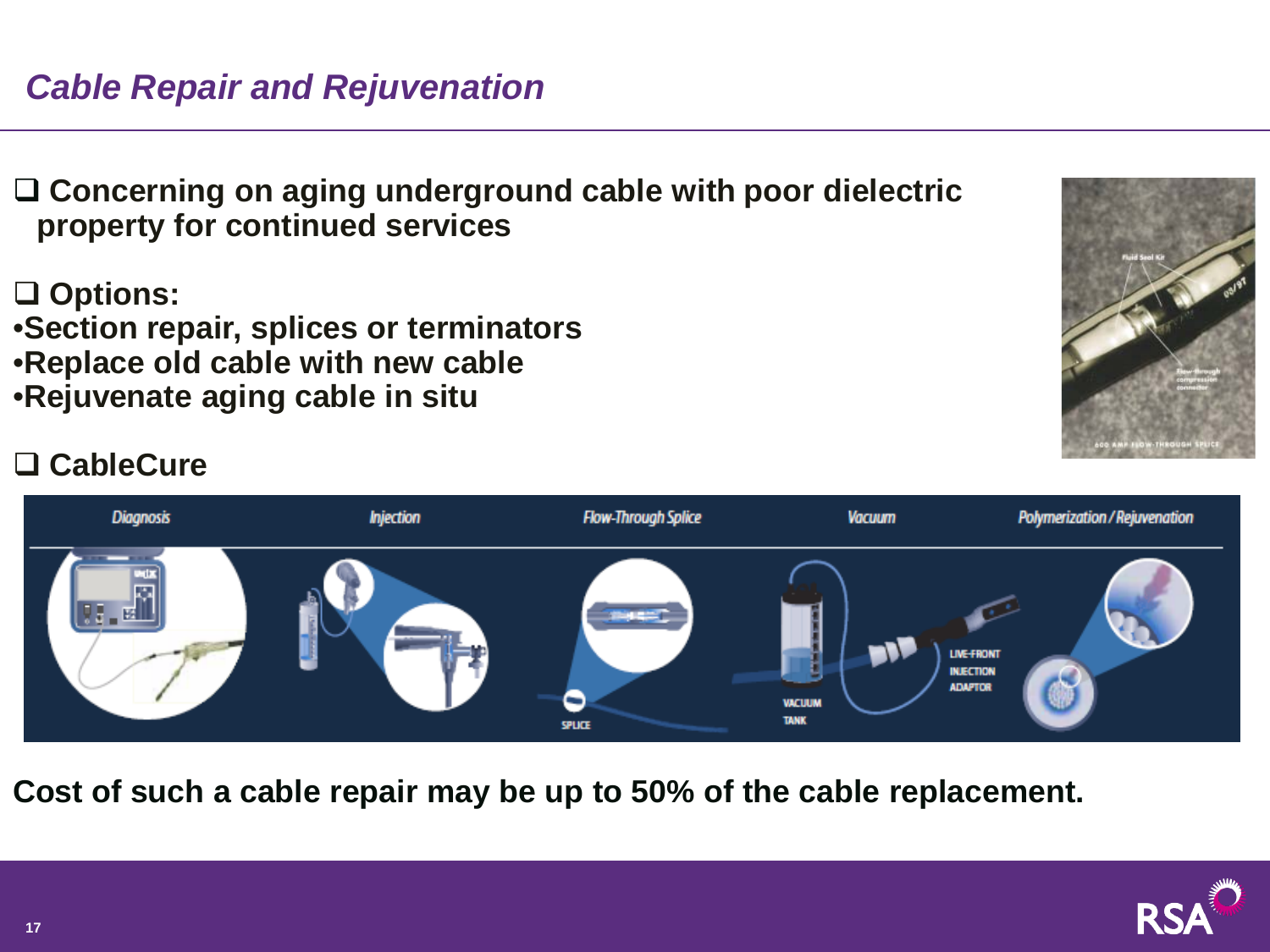# *Cable Repair and Rejuvenation*

 **Concerning on aging underground cable with poor dielectric property for continued services**

**Options:** 

•**Section repair, splices or terminators** •**Replace old cable with new cable** •**Rejuvenate aging cable in situ**



## **CableCure**



**Cost of such a cable repair may be up to 50% of the cable replacement.** 

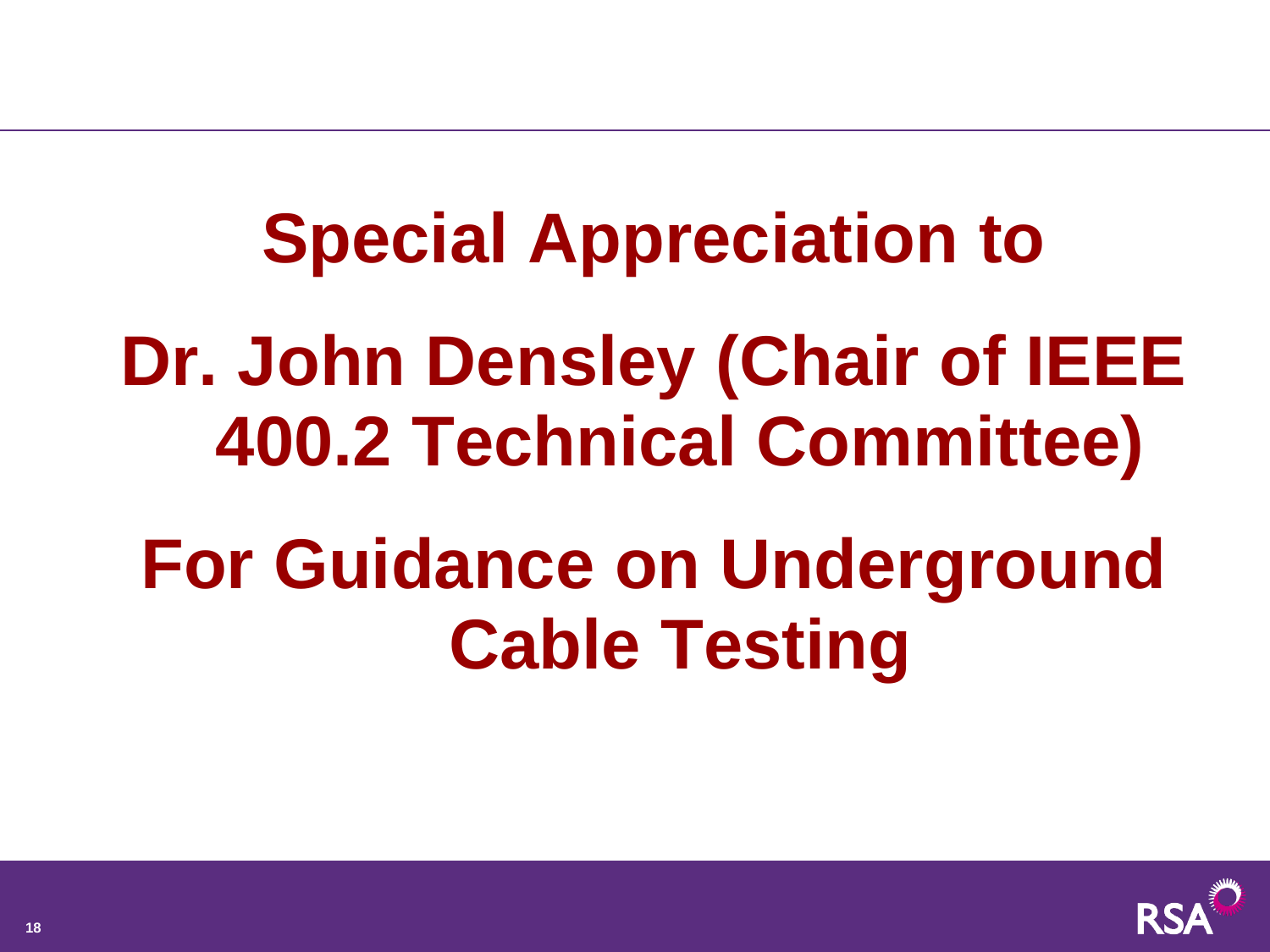**Special Appreciation to Dr. John Densley (Chair of IEEE 400.2 Technical Committee)** 

# **For Guidance on Underground Cable Testing**